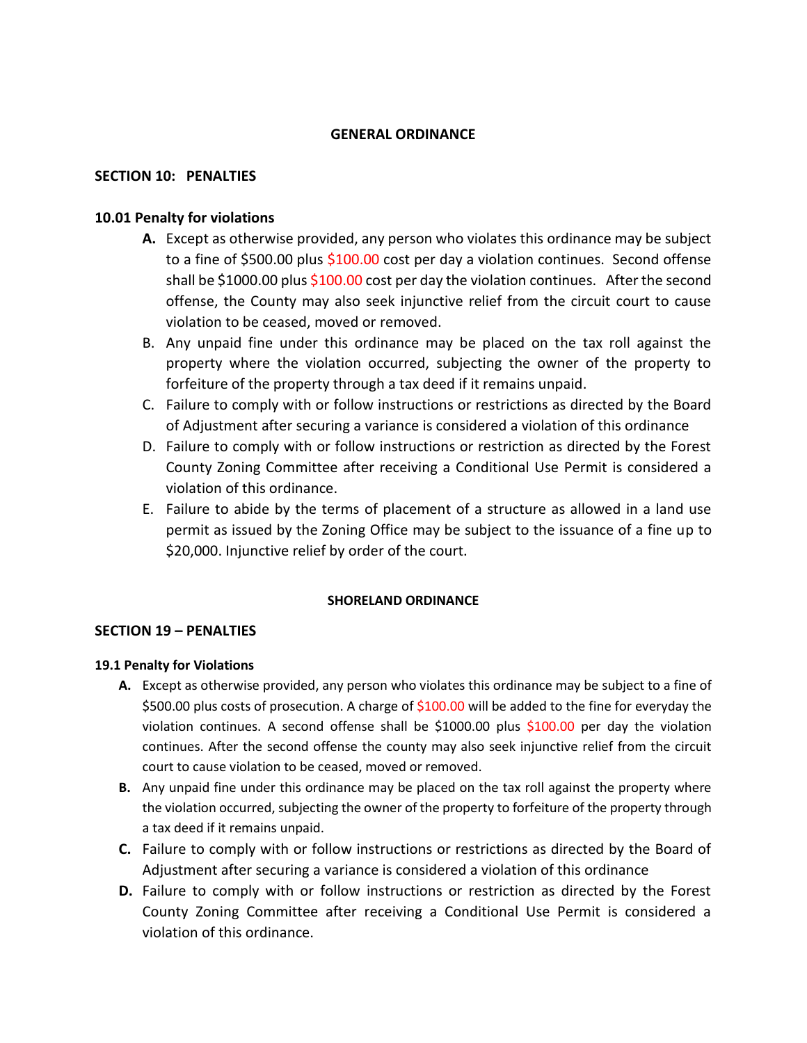# **GENERAL ORDINANCE**

## **SECTION 10: PENALTIES**

# **10.01 Penalty for violations**

- **A.** Except as otherwise provided, any person who violates this ordinance may be subject to a fine of \$500.00 plus \$100.00 cost per day a violation continues. Second offense shall be \$1000.00 plus \$100.00 cost per day the violation continues. After the second offense, the County may also seek injunctive relief from the circuit court to cause violation to be ceased, moved or removed.
- B. Any unpaid fine under this ordinance may be placed on the tax roll against the property where the violation occurred, subjecting the owner of the property to forfeiture of the property through a tax deed if it remains unpaid.
- C. Failure to comply with or follow instructions or restrictions as directed by the Board of Adjustment after securing a variance is considered a violation of this ordinance
- D. Failure to comply with or follow instructions or restriction as directed by the Forest County Zoning Committee after receiving a Conditional Use Permit is considered a violation of this ordinance.
- E. Failure to abide by the terms of placement of a structure as allowed in a land use permit as issued by the Zoning Office may be subject to the issuance of a fine up to \$20,000. Injunctive relief by order of the court.

### **SHORELAND ORDINANCE**

### **SECTION 19 – PENALTIES**

### **19.1 Penalty for Violations**

- **A.** Except as otherwise provided, any person who violates this ordinance may be subject to a fine of \$500.00 plus costs of prosecution. A charge of \$100.00 will be added to the fine for everyday the violation continues. A second offense shall be \$1000.00 plus \$100.00 per day the violation continues. After the second offense the county may also seek injunctive relief from the circuit court to cause violation to be ceased, moved or removed.
- **B.** Any unpaid fine under this ordinance may be placed on the tax roll against the property where the violation occurred, subjecting the owner of the property to forfeiture of the property through a tax deed if it remains unpaid.
- **C.** Failure to comply with or follow instructions or restrictions as directed by the Board of Adjustment after securing a variance is considered a violation of this ordinance
- **D.** Failure to comply with or follow instructions or restriction as directed by the Forest County Zoning Committee after receiving a Conditional Use Permit is considered a violation of this ordinance.